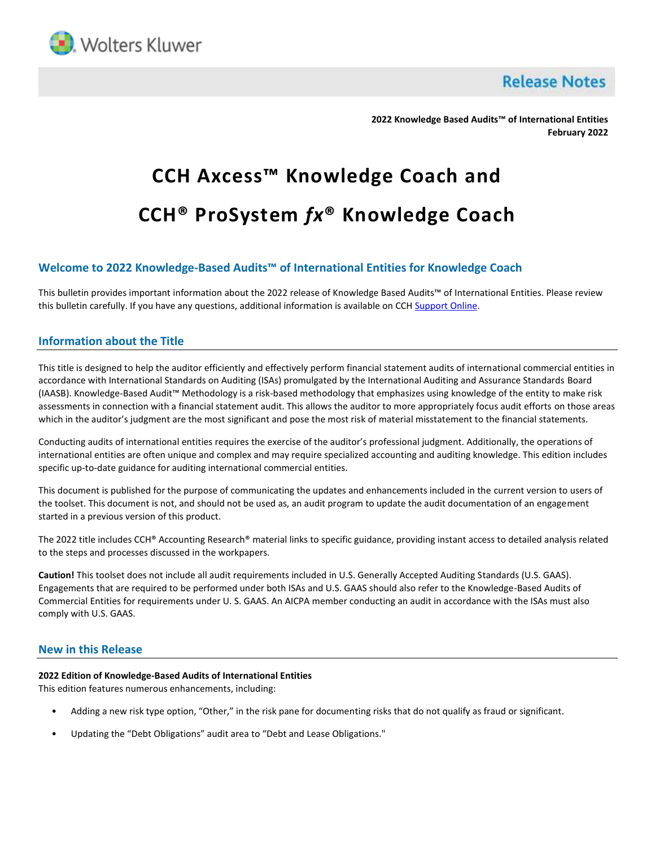

**Release Notes** 

**2022 Knowledge Based Audits™ of International Entities February 2022**

# **CCH Axcess™ Knowledge Coach and CCH® ProSystem** *fx***® Knowledge Coach**

## **Welcome to 2022 Knowledge-Based Audits™ of International Entities for Knowledge Coach**

This bulletin provides important information about the 2022 release of Knowledge Based Audits™ of International Entities. Please review this bulletin carefully. If you have any questions, additional information is available on CCH [Support Online.](http://support.cch.com/productsupport/)

## **Information about the Title**

This title is designed to help the auditor efficiently and effectively perform financial statement audits of international commercial entities in accordance with International Standards on Auditing (ISAs) promulgated by the International Auditing and Assurance Standards Board (IAASB). Knowledge-Based Audit™ Methodology is a risk-based methodology that emphasizes using knowledge of the entity to make risk assessments in connection with a financial statement audit. This allows the auditor to more appropriately focus audit efforts on those areas which in the auditor's judgment are the most significant and pose the most risk of material misstatement to the financial statements.

Conducting audits of international entities requires the exercise of the auditor's professional judgment. Additionally, the operations of international entities are often unique and complex and may require specialized accounting and auditing knowledge. This edition includes specific up-to-date guidance for auditing international commercial entities.

This document is published for the purpose of communicating the updates and enhancements included in the current version to users of the toolset. This document is not, and should not be used as, an audit program to update the audit documentation of an engagement started in a previous version of this product.

The 2022 title includes CCH® Accounting Research® material links to specific guidance, providing instant access to detailed analysis related to the steps and processes discussed in the workpapers.

**Caution!** This toolset does not include all audit requirements included in U.S. Generally Accepted Auditing Standards (U.S. GAAS). Engagements that are required to be performed under both ISAs and U.S. GAAS should also refer to the Knowledge-Based Audits of Commercial Entities for requirements under U. S. GAAS. An AICPA member conducting an audit in accordance with the ISAs must also comply with U.S. GAAS.

#### **New in this Release**

#### **2022 Edition of Knowledge-Based Audits of International Entities**

This edition features numerous enhancements, including:

- Adding a new risk type option, "Other," in the risk pane for documenting risks that do not qualify as fraud or significant.
- Updating the "Debt Obligations" audit area to "Debt and Lease Obligations."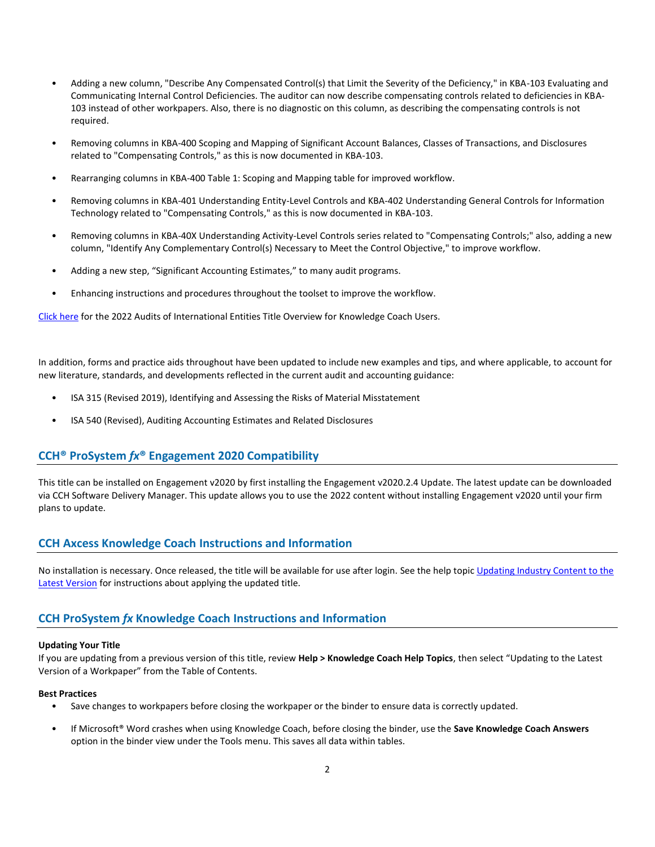- Adding a new column, "Describe Any Compensated Control(s) that Limit the Severity of the Deficiency," in KBA-103 Evaluating and Communicating Internal Control Deficiencies. The auditor can now describe compensating controls related to deficiencies in KBA-103 instead of other workpapers. Also, there is no diagnostic on this column, as describing the compensating controls is not required.
- Removing columns in KBA-400 Scoping and Mapping of Significant Account Balances, Classes of Transactions, and Disclosures related to "Compensating Controls," as this is now documented in KBA-103.
- Rearranging columns in KBA-400 Table 1: Scoping and Mapping table for improved workflow.
- Removing columns in KBA-401 Understanding Entity-Level Controls and KBA-402 Understanding General Controls for Information Technology related to "Compensating Controls," as this is now documented in KBA-103.
- Removing columns in KBA-40X Understanding Activity-Level Controls series related to "Compensating Controls;" also, adding a new column, "Identify Any Complementary Control(s) Necessary to Meet the Control Objective," to improve workflow.
- Adding a new step, "Significant Accounting Estimates," to many audit programs.
- Enhancing instructions and procedures throughout the toolset to improve the workflow.

[Click here](https://support.cch.com/updates/knowledgecoach/pdf/guides_tab/2022%20International%20Entities%20Audit%20Title%20Overview%20for%20Knowledge%20Coach%20Users.pdf) for the 2022 Audits of International Entities Title Overview for Knowledge Coach Users.

In addition, forms and practice aids throughout have been updated to include new examples and tips, and where applicable, to account for new literature, standards, and developments reflected in the current audit and accounting guidance:

- ISA 315 (Revised 2019), Identifying and Assessing the Risks of Material Misstatement
- ISA 540 (Revised), Auditing Accounting Estimates and Related Disclosures

## **CCH® ProSystem** *fx***® Engagement 2020 Compatibility**

This title can be installed on Engagement v2020 by first installing the Engagement v2020.2.4 Update. The latest update can be downloaded via CCH Software Delivery Manager. This update allows you to use the 2022 content without installing Engagement v2020 until your firm plans to update.

#### **CCH Axcess Knowledge Coach Instructions and Information**

No installation is necessary. Once released, the title will be available for use after login. See the help topic Updating Industry Content to the [Latest Version](https://knowledgecoach.cchaxcess.com/Knowledge-Coach/Content/Engagements/Eng-Update-content.htm) for instructions about applying the updated title.

### **CCH ProSystem** *fx* **Knowledge Coach Instructions and Information**

#### **Updating Your Title**

If you are updating from a previous version of this title, review **Help > Knowledge Coach Help Topics**, then select "Updating to the Latest Version of a Workpaper" from the Table of Contents.

#### **Best Practices**

- Save changes to workpapers before closing the workpaper or the binder to ensure data is correctly updated.
- If Microsoft® Word crashes when using Knowledge Coach, before closing the binder, use the **Save Knowledge Coach Answers** option in the binder view under the Tools menu. This saves all data within tables.